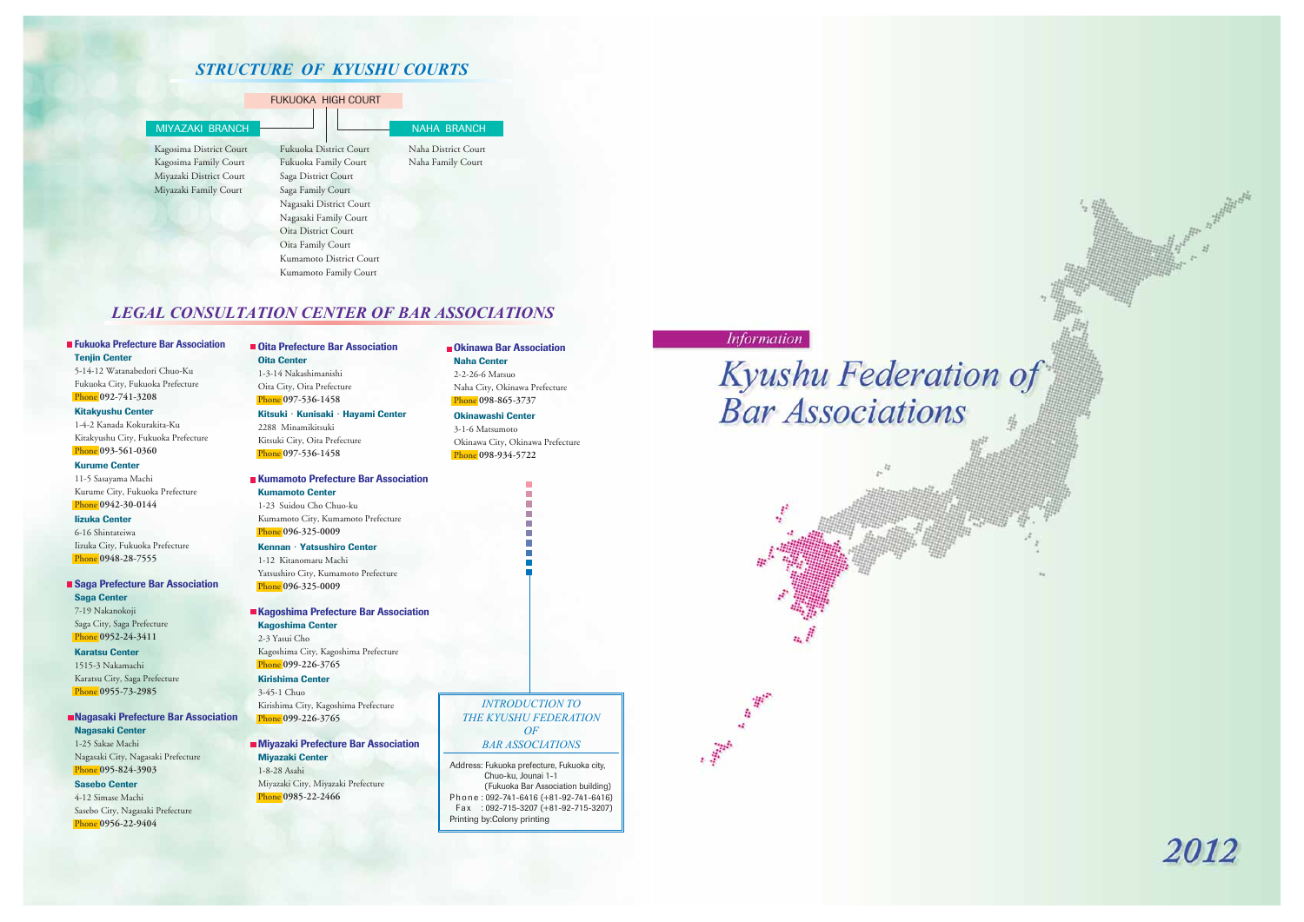## *STRUCTURE OF KYUSHU COURTS*

## *LEGAL CONSULTATION CENTER OF BAR ASSOCIATIONS*

#### FUKUOKA HIGH COURT



#### **Fukuoka Prefecture Bar Association Tenjin Center**

5-14-12 Watanabedori Chuo-Ku Fukuoka City, Fukuoka Prefecture Phone **092-741-3208**

#### **Kitakyushu Center**

1-4-2 Kanada Kokurakita-Ku Kitakyushu City, Fukuoka Prefecture Phone **093-561-0360**

#### **Kurume Center**

11-5 Sasayama Machi Kurume City, Fukuoka Prefecture Phone **0942-30-0144**

#### **Iizuka Center**

6-16 Shintateiwa Iizuka City, Fukuoka Prefecture Phone **0948-28-7555**

#### **Saga Prefecture Bar Association Saga Center** 7-19 Nakanokoji Saga City, Saga Prefecture Phone **0952-24-3411**

**Karatsu Center** 1515-3 Nakamachi Karatsu City, Saga Prefecture Phone **0955-73-2985**

#### **Nagasaki Prefecture Bar Association Nagasaki Center** 1-25 Sakae Machi Nagasaki City, Nagasaki Prefecture

Phone **095-824-3903 Sasebo Center**

4-12 Simase Machi Sasebo City, Nagasaki Prefecture Phone **0956-22-9404**

#### **Oita Prefecture Bar Association Oita Center** 1-3-14 Nakashimanishi

Oita City, Oita Prefecture Phone **097-536-1458**

## **Kitsuki**・**Kunisaki**・**Hayami Center**

2288 Minamikitsuki Kitsuki City, Oita Prefecture Phone **097-536-1458**

## **Kumamoto Prefecture Bar Association**

**Kumamoto Center**

1-23 Suidou Cho Chuo-ku Kumamoto City, Kumamoto Prefecture Phone **096-325-0009**

#### **Kennan**・**Yatsushiro Center**

1-12 Kitanomaru Machi Phone **096-325-0009**

Yatsushiro City, Kumamoto Prefecture

## **Kagoshima Prefecture Bar Association**

**Kagoshima Center**

2-3 Yasui Cho Kagoshima City, Kagoshima Prefecture Phone **099-226-3765**

## **Kirishima Center**

3-45-1 Chuo Kirishima City, Kagoshima Prefecture Phone **099-226-3765**

#### **Miyazaki Prefecture Bar Association Miyazaki Center**

1-8-28 Asahi Miyazaki City, Miyazaki Prefecture Phone **0985-22-2466**

#### **Okinawa Bar Association Naha Center**

2-2-26-6 Matsuo Naha City, Okinawa Prefecture Phone **098-865-3737**

#### **Okinawashi Center**

3-1-6 Matsumoto Okinawa City, Okinawa Prefecture

# Phone **098-934-5722**

*INTRODUCTION TO THE KYUSHU FEDERATION*

# **Bar Associations**



#### *OF BAR ASSOCIATIONS*

Address: Fukuoka prefecture, Fukuoka city, Chuo-ku, Jounai 1-1 (Fukuoka Bar Association building) Phone : 092-741-6416 (+81-92-741-6416) Fax : 092-715-3207 (+81-92-715-3207) Printing by:Colony printing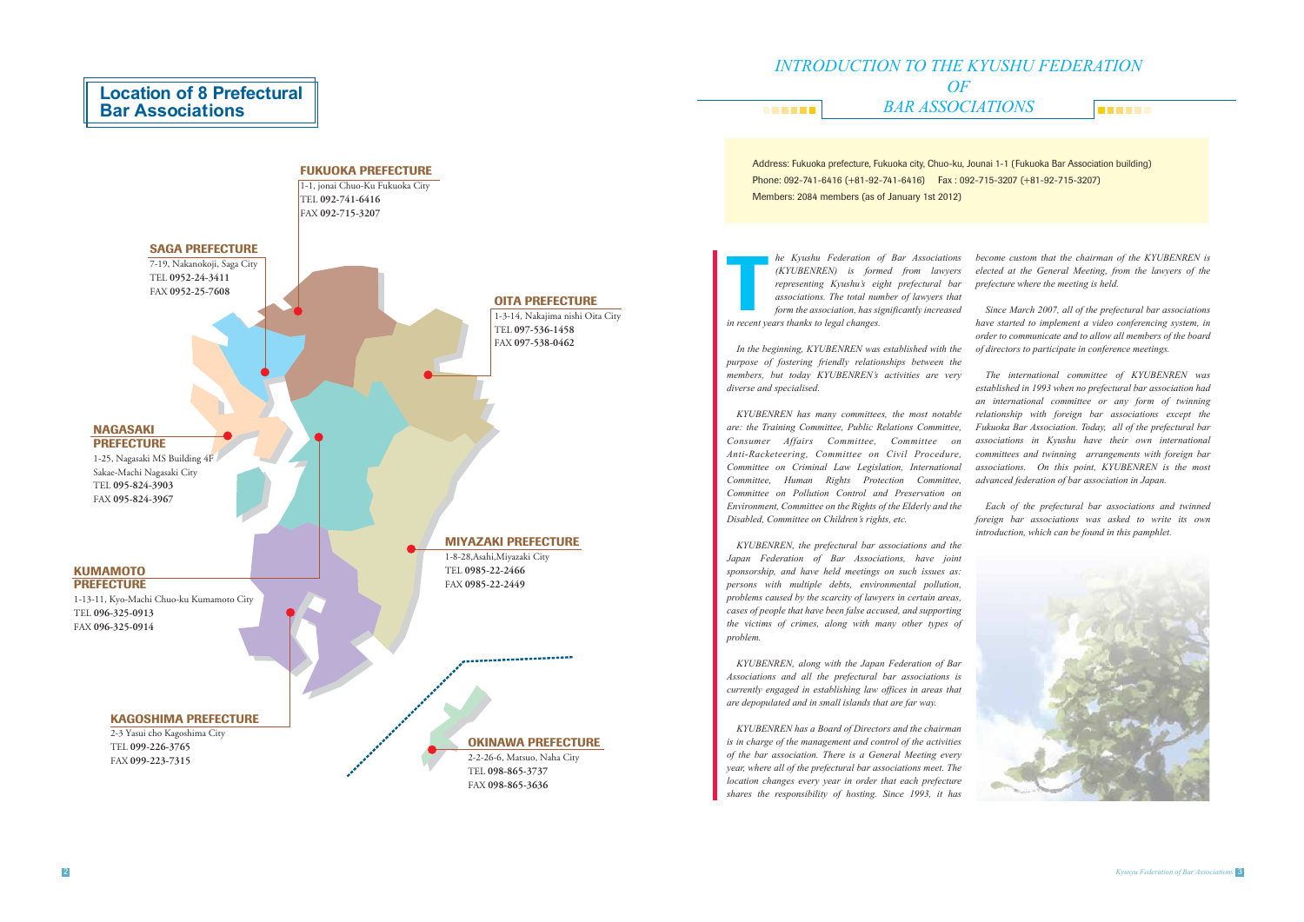## **Location of 8 Prefectural Bar Associations**

#### *INTRODUCTION TO THE KYUSHU FEDERATION OF BAR ASSOCIATIONS* **BREEZE THE REAL**



Address: Fukuoka prefecture, Fukuoka city, Chuo-ku, Jounai 1-1 (Fukuoka Bar Association building) Phone: 092-741-6416 (+81-92-741-6416) Fax : 092-715-3207 (+81-92-715-3207)

Members: 2084 members (as of January 1st 2012)

*In the beginning, KYUBENREN was established with the purpose of fostering friendly relationships between the members, but today KYUBENREN's activities are very diverse and specialised.*

*KYUBENREN has many committees, the most notable are: the Training Committee, Public Relations Committee, Consumer Affairs Committee, Committee on Anti-Racketeering, Committee on Civil Procedure, Committee on Criminal Law Legislation, International Committee, Human Rights Protection Committee, Committee on Pollution Control and Preservation on Environment, Committee on the Rights of the Elderly and the Disabled, Committee on Children's rights, etc.*

*he Kyushu Federation of Bar Associations (KYUBENREN) is formed from lawyers representing Kyushu's eight prefectural bar associations. The total number of lawyers that form the association, has significantly increased in Ryushu Federation c*<br> *is form*<br> *is form*<br> *ie associations. The total num*<br> *form the association, has si*<br> *in recent years thanks to legal changes. become custom that the chairman of the KYUBENREN is elected at the General Meeting, from the lawyers of the prefecture where the meeting is held. Since March 2007, all of the prefectural bar associations* 

*KYUBENREN, the prefectural bar associations and the Japan Federation of Bar Associations, have joint sponsorship, and have held meetings on such issues as: persons with multiple debts, environmental pollution, problems caused by the scarcity of lawyers in certain areas, cases of people that have been false accused, and supporting the victims of crimes, along with many other types of problem.*

*KYUBENREN, along with the Japan Federation of Bar Associations and all the prefectural bar associations is currently engaged in establishing law offices in areas that are depopulated and in small islands that are far way.*

*KYUBENREN has a Board of Directors and the chairman is in charge of the management and control of the activities of the bar association. There is a General Meeting every year, where all of the prefectural bar associations meet. The location changes every year in order that each prefecture shares the responsibility of hosting. Since 1993, it has* 

*have started to implement a video conferencing system, in order to communicate and to allow all members of the board of directors to participate in conference meetings.*

*The international committee of KYUBENREN was established in 1993 when no prefectural bar association had an international committee or any form of twinning relationship with foreign bar associations except the Fukuoka Bar Association. Today, all of the prefectural bar associations in Kyushu have their own international committees and twinning arrangements with foreign bar associations. On this point, KYUBENREN is the most advanced federation of bar association in Japan.*

*Each of the prefectural bar associations and twinned foreign bar associations was asked to write its own introduction, which can be found in this pamphlet.*

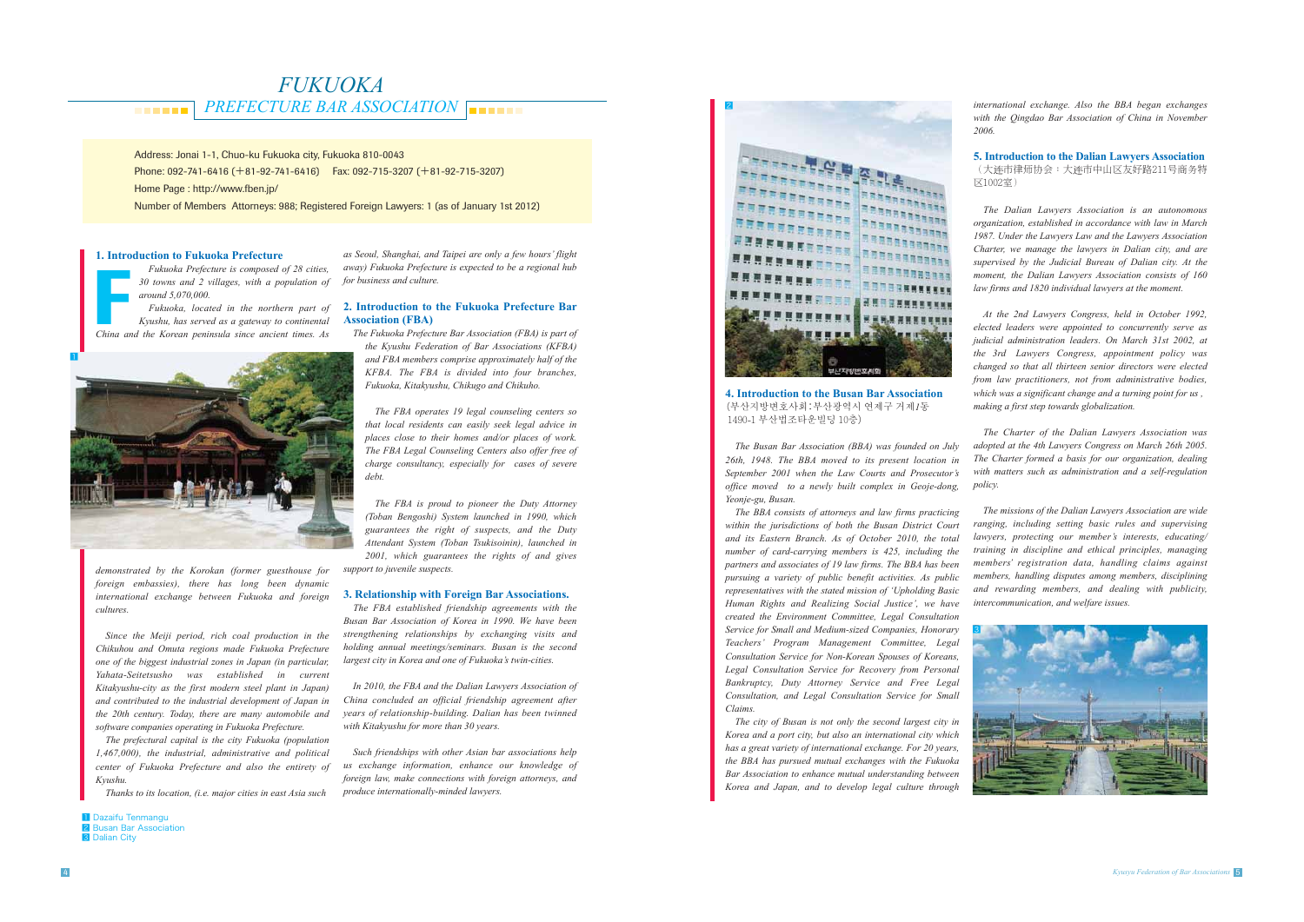## *FUKUOKA PREFECTURE BAR ASSOCIATION* **......**

Address: Jonai 1-1, Chuo-ku Fukuoka city, Fukuoka 810-0043

1 Dazaifu Tenmangu **2** Busan Bar Association **3** Dalian City

Phone: 092-741-6416 ( +81-92-741-6416) Fax: 092-715-3207 ( +81-92-715-3207)

Home Page : http://www.fben.jp/

Number of Members Attorneys: 988; Registered Foreign Lawyers: 1 (as of January 1st 2012)

Fukuoka Prefecture is composed of 28 cities,<br>30 towns and 2 villages, with a population of<br>around 5,070,000.<br>Fukuoka, located in the northern part of<br>Kyushu, has served as a gateway to continental<br>China and the Korean peni *Fukuoka, located in the northern part of Kyushu, has served as a gateway to continental* 

#### **1. Introduction to Fukuoka Prefecture**

*Fukuoka Prefecture is composed of 28 cities, 30 towns and 2 villages, with a population of around 5,070,000.* 

*demonstrated by the Korokan (former guesthouse for foreign embassies), there has long been dynamic international exchange between Fukuoka and foreign cultures.*

*Since the Meiji period, rich coal production in the Chikuhou and Omuta regions made Fukuoka Prefecture one of the biggest industrial zones in Japan (in particular, Yahata-Seitetsusho was established in current Kitakyushu-city as the first modern steel plant in Japan) and contributed to the industrial development of Japan in the 20th century. Today, there are many automobile and software companies operating in Fukuoka Prefecture.*

*The prefectural capital is the city Fukuoka (population 1,467,000), the industrial, administrative and political center of Fukuoka Prefecture and also the entirety of Kyushu.*

*Thanks to its location, (i.e. major cities in east Asia such* 

*as Seoul, Shanghai, and Taipei are only a few hours' flight away) Fukuoka Prefecture is expected to be a regional hub for business and culture.*

#### **2. Introduction to the Fukuoka Prefecture Bar Association (FBA)**

*The Fukuoka Prefecture Bar Association (FBA) is part of the Kyushu Federation of Bar Associations (KFBA) and FBA members comprise approximately half of the KFBA. The FBA is divided into four branches, Fukuoka, Kitakyushu, Chikugo and Chikuho.*

*The FBA operates 19 legal counseling centers so that local residents can easily seek legal advice in places close to their homes and/or places of work. The FBA Legal Counseling Centers also offer free of charge consultancy, especially for cases of severe debt.*

*The FBA is proud to pioneer the Duty Attorney (Toban Bengoshi) System launched in 1990, which guarantees the right of suspects, and the Duty Attendant System (Toban Tsukisoinin), launched in 2001, which guarantees the rights of and gives* 

*support to juvenile suspects.*

#### **3. Relationship with Foreign Bar Associations.**

*The FBA established friendship agreements with the Busan Bar Association of Korea in 1990. We have been strengthening relationships by exchanging visits and holding annual meetings/seminars. Busan is the second largest city in Korea and one of Fukuoka's twin-cities.* 

*In 2010, the FBA and the Dalian Lawyers Association of China concluded an official friendship agreement after years of relationship-building. Dalian has been twinned with Kitakyushu for more than 30 years.*

*Such friendships with other Asian bar associations help us exchange information, enhance our knowledge of foreign law, make connections with foreign attorneys, and produce internationally-minded lawyers.*

#### **4. Introduction to the Busan Bar Association** (부산지방변호사회:부산광역시 연제구 거제*1*동 1490-1 부산법조타운빌딩 10 층)

*The Busan Bar Association (BBA) was founded on July 26th, 1948. The BBA moved to its present location in September 2001 when the Law Courts and Prosecutor's office moved to a newly built complex in Geoje-dong, Yeonje-gu, Busan.*

*The BBA consists of attorneys and law firms practicing within the jurisdictions of both the Busan District Court and its Eastern Branch. As of October 2010, the total number of card-carrying members is 425, including the partners and associates of 19 law firms. The BBA has been pursuing a variety of public benefit activities. As public representatives with the stated mission of 'Upholding Basic Human Rights and Realizing Social Justice', we have created the Environment Committee, Legal Consultation Service for Small and Medium-sized Companies, Honorary Teachers' Program Management Committee, Legal Consultation Service for Non-Korean Spouses of Koreans, Legal Consultation Service for Recovery from Personal Bankruptcy, Duty Attorney Service and Free Legal Consultation, and Legal Consultation Service for Small Claims.*

*The city of Busan is not only the second largest city in Korea and a port city, but also an international city which has a great variety of international exchange. For 20 years, the BBA has pursued mutual exchanges with the Fukuoka Bar Association to enhance mutual understanding between Korea and Japan, and to develop legal culture through* 

*international exchange. Also the BBA began exchanges with the Qingdao Bar Association of China in November* 

*2006.*

**5. Introduction to the Dalian Lawyers Association** (大连市律师协会:大连市中山区友好路211号商务特 䢄1002室)

*The Dalian Lawyers Association is an autonomous organization, established in accordance with law in March 1987. Under the Lawyers Law and the Lawyers Association Charter, we manage the lawyers in Dalian city, and are supervised by the Judicial Bureau of Dalian city. At the moment, the Dalian Lawyers Association consists of 160* 

*law firms and 1820 individual lawyers at the moment. At the 2nd Lawyers Congress, held in October 1992, elected leaders were appointed to concurrently serve as judicial administration leaders. On March 31st 2002, at the 3rd Lawyers Congress, appointment policy was changed so that all thirteen senior directors were elected from law practitioners, not from administrative bodies, which was a significant change and a turning point for us , making a first step towards globalization.*

*The Charter of the Dalian Lawyers Association was adopted at the 4th Lawyers Congress on March 26th 2005. The Charter formed a basis for our organization, dealing with matters such as administration and a self-regulation policy.*

*The missions of the Dalian Lawyers Association are wide ranging, including setting basic rules and supervising lawyers, protecting our member's interests, educating/ training in discipline and ethical principles, managing members' registration data, handling claims against members, handling disputes among members, disciplining and rewarding members, and dealing with publicity, intercommunication, and welfare issues.* 



2

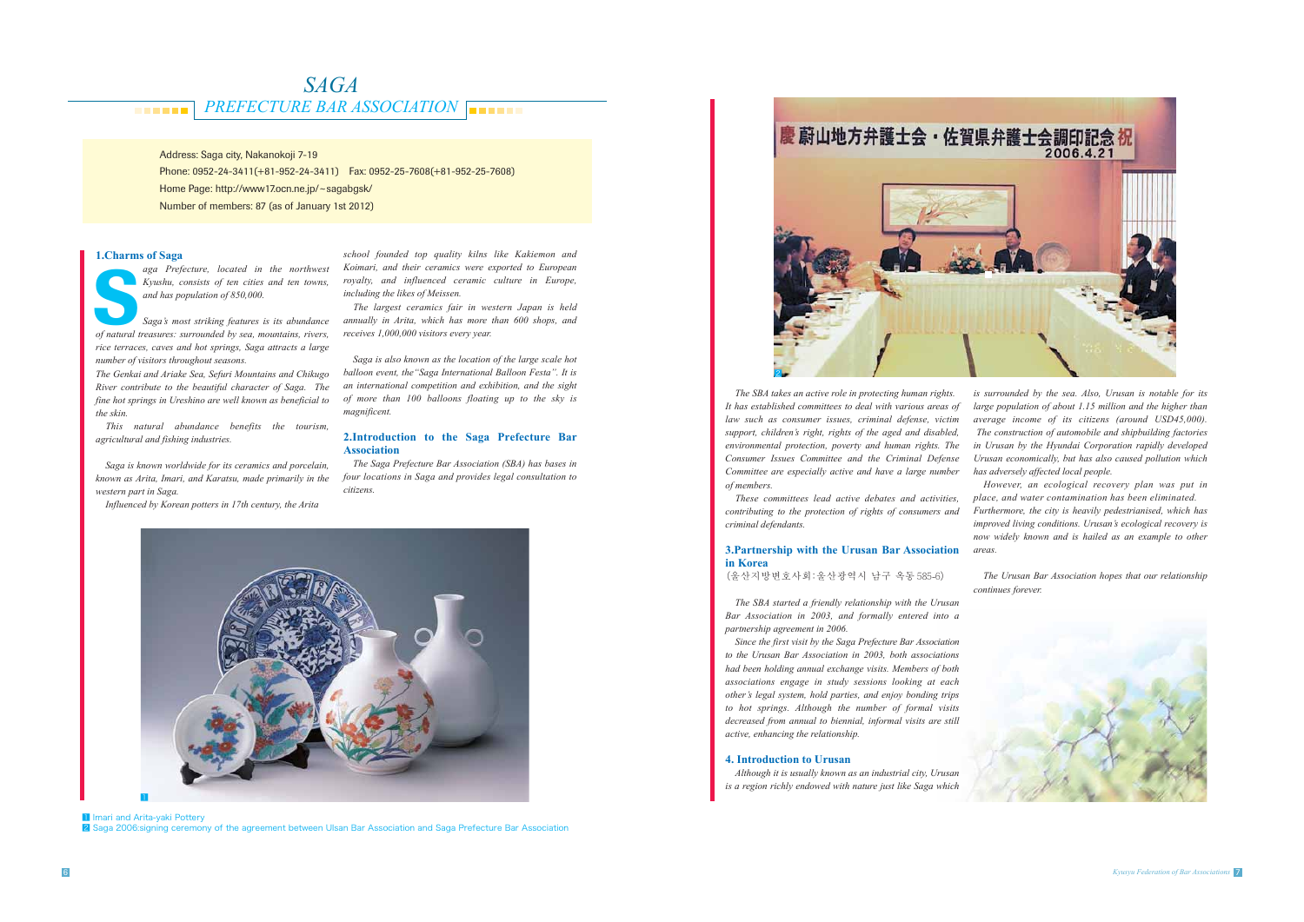#### *PREFECTURE BAR ASSOCIATION <u>BREEZ</u>*

# *SAGA*

Address: Saga city, Nakanokoji 7-19

Phone: 0952-24-3411(+81-952-24-3411) Fax: 0952-25-7608(+81-952-25-7608)

Home Page: http://www17.ocn.ne.jp/~sagabgsk/

**1 Imari and Arita-yaki Pottery** 2 Saga 2006:signing ceremony of the agreement between Ulsan Bar Association and Saga Prefecture Bar Association

*aga Prefecture, located in the northwest Kyushu, consists of ten cities and ten towns, and has population of 850,000. of ten cities and ten towns,*<br>*Kyushu, consists of ten cities and ten towns,*<br>*and has population of 850,000.*<br>*Saga's most striking features is its abundance*<br>*of natural treasures: surrounded by sea, mountains, rivers,* 

Number of members: 87 (as of January 1st 2012)

#### **1.Charms of Saga**



*Saga's most striking features is its abundance rice terraces, caves and hot springs, Saga attracts a large number of visitors throughout seasons.*

*The Genkai and Ariake Sea, Sefuri Mountains and Chikugo River contribute to the beautiful character of Saga. The fine hot springs in Ureshino are well known as beneficial to the skin.* 

*This natural abundance benefits the tourism, agricultural and fishing industries.* 

*Saga is known worldwide for its ceramics and porcelain, known as Arita, Imari, and Karatsu, made primarily in the western part in Saga.*

*Influenced by Korean potters in 17th century, the Arita* 

*school founded top quality kilns like Kakiemon and Koimari, and their ceramics were exported to European royalty, and influenced ceramic culture in Europe, including the likes of Meissen.*

*The largest ceramics fair in western Japan is held annually in Arita, which has more than 600 shops, and receives 1,000,000 visitors every year.*

*Saga is also known as the location of the large scale hot balloon event, the"Saga International Balloon Festa". It is an international competition and exhibition, and the sight of more than 100 balloons floating up to the sky is magnificent.*

#### **2.Introduction to the Saga Prefecture Bar Association**

*The Saga Prefecture Bar Association (SBA) has bases in four locations in Saga and provides legal consultation to citizens.* 

*The SBA takes an active role in protecting human rights. It has established committees to deal with various areas of law such as consumer issues, criminal defense, victim support, children's right, rights of the aged and disabled, environmental protection, poverty and human rights. The Consumer Issues Committee and the Criminal Defense Committee are especially active and have a large number of members.* 

*These committees lead active debates and activities, contributing to the protection of rights of consumers and criminal defendants.*

#### **3.Partnership with the Urusan Bar Association in Korea**

(울산지방변호사회:울산광역시 남구 옥동 585-6)

*The SBA started a friendly relationship with the Urusan Bar Association in 2003, and formally entered into a partnership agreement in 2006.* 

*Since the first visit by the Saga Prefecture Bar Association to the Urusan Bar Association in 2003, both associations had been holding annual exchange visits. Members of both associations engage in study sessions looking at each other's legal system, hold parties, and enjoy bonding trips to hot springs. Although the number of formal visits decreased from annual to biennial, informal visits are still active, enhancing the relationship.* 

#### **4. Introduction to Urusan**

*Although it is usually known as an industrial city, Urusan is a region richly endowed with nature just like Saga which* 

*is surrounded by the sea. Also, Urusan is notable for its large population of about 1.15 million and the higher than average income of its citizens (around USD45,000). The construction of automobile and shipbuilding factories in Urusan by the Hyundai Corporation rapidly developed Urusan economically, but has also caused pollution which has adversely affected local people.* 

*However, an ecological recovery plan was put in place, and water contamination has been eliminated.*

*Furthermore, the city is heavily pedestrianised, which has improved living conditions. Urusan's ecological recovery is now widely known and is hailed as an example to other areas.* 

*The Urusan Bar Association hopes that our relationship continues forever.*





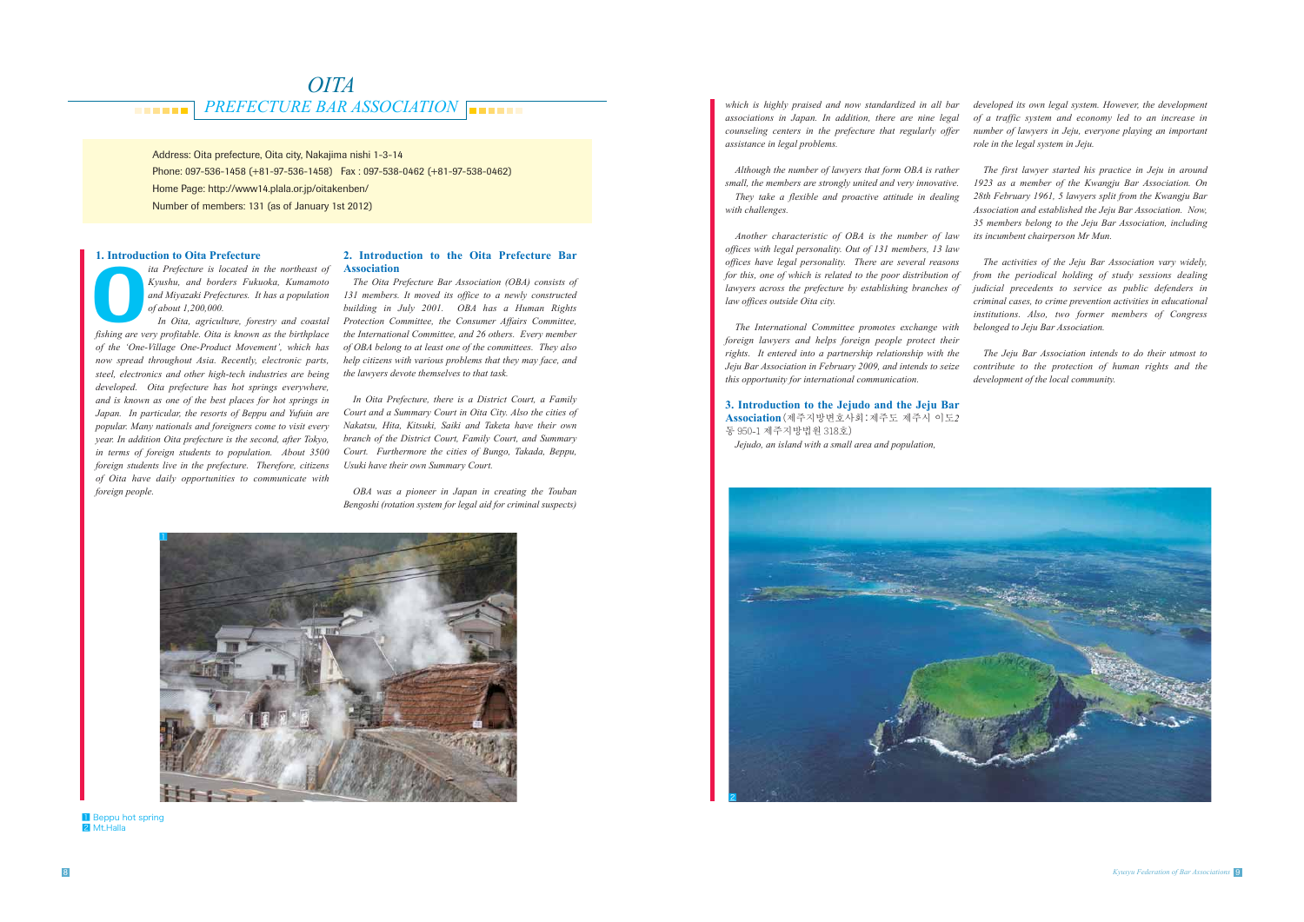#### *PREFECTURE BAR ASSOCIATION <u>PARK 1999</u>*

# *OITA*

*which is highly praised and now standardized in all bar associations in Japan. In addition, there are nine legal counseling centers in the prefecture that regularly offer assistance in legal problems.*

*Although the number of lawyers that form OBA is rather small, the members are strongly united and very innovative.* 

*They take a flexible and proactive attitude in dealing with challenges.*

*Another characteristic of OBA is the number of law offices with legal personality. Out of 131 members, 13 law offices have legal personality. There are several reasons for this, one of which is related to the poor distribution of lawyers across the prefecture by establishing branches of law offices outside Oita city.* 

*fita Prefecture is located in the northeast of Kyushu, and borders Fukuoka, Kumamoto* and Miyazaki Prefectures. It has a population of about 1,200,000.<br>In Oita, agriculture, forestry and coastal fishing are very profitabl *ita Prefecture is located in the northeast of Kyushu, and borders Fukuoka, Kumamoto and Miyazaki Prefectures. It has a population of about 1,200,000.*

*The International Committee promotes exchange with foreign lawyers and helps foreign people protect their rights. It entered into a partnership relationship with the Jeju Bar Association in February 2009, and intends to seize this opportunity for international communication.* 

## **3. Introduction to the Jejudo and the Jeju Bar**

**Association**(제주지방변호사회:제주도 제주시 이도*2* 동 950-1 제주지방법원 318 호)

*Jejudo, an island with a small area and population,* 

Address: Oita prefecture, Oita city, Nakajima nishi 1-3-14 Phone: 097-536-1458 (+81-97-536-1458) Fax : 097-538-0462 (+81-97-538-0462) Home Page: http://www14.plala.or.jp/oitakenben/ Number of members: 131 (as of January 1st 2012)

#### **1. Introduction to Oita Prefecture**

 *In Oita, agriculture, forestry and coastal of the 'One-Village One-Product Movement', which has now spread throughout Asia. Recently, electronic parts, steel, electronics and other high-tech industries are being developed. Oita prefecture has hot springs everywhere, and is known as one of the best places for hot springs in Japan. In particular, the resorts of Beppu and Yufuin are popular. Many nationals and foreigners come to visit every year. In addition Oita prefecture is the second, after Tokyo, in terms of foreign students to population. About 3500 foreign students live in the prefecture. Therefore, citizens of Oita have daily opportunities to communicate with foreign people.* 



**1** Beppu hot spring 2 Mt.Halla

#### **2. Introduction to the Oita Prefecture Bar Association**

*The Oita Prefecture Bar Association (OBA) consists of 131 members. It moved its office to a newly constructed building in July 2001. OBA has a Human Rights Protection Committee, the Consumer Affairs Committee, the International Committee, and 26 others. Every member of OBA belong to at least one of the committees. They also help citizens with various problems that they may face, and the lawyers devote themselves to that task.* 

*In Oita Prefecture, there is a District Court, a Family Court and a Summary Court in Oita City. Also the cities of Nakatsu, Hita, Kitsuki, Saiki and Taketa have their own branch of the District Court, Family Court, and Summary Court. Furthermore the cities of Bungo, Takada, Beppu, Usuki have their own Summary Court.*

*OBA was a pioneer in Japan in creating the Touban Bengoshi (rotation system for legal aid for criminal suspects)* 

*developed its own legal system. However, the development of a traffic system and economy led to an increase in number of lawyers in Jeju, everyone playing an important role in the legal system in Jeju.* 

*The first lawyer started his practice in Jeju in around 1923 as a member of the Kwangju Bar Association. On 28th February 1961, 5 lawyers split from the Kwangju Bar Association and established the Jeju Bar Association. Now, 35 members belong to the Jeju Bar Association, including its incumbent chairperson Mr Mun.*

*The activities of the Jeju Bar Association vary widely, from the periodical holding of study sessions dealing judicial precedents to service as public defenders in criminal cases, to crime prevention activities in educational institutions. Also, two former members of Congress belonged to Jeju Bar Association.* 

*The Jeju Bar Association intends to do their utmost to contribute to the protection of human rights and the development of the local community.* 

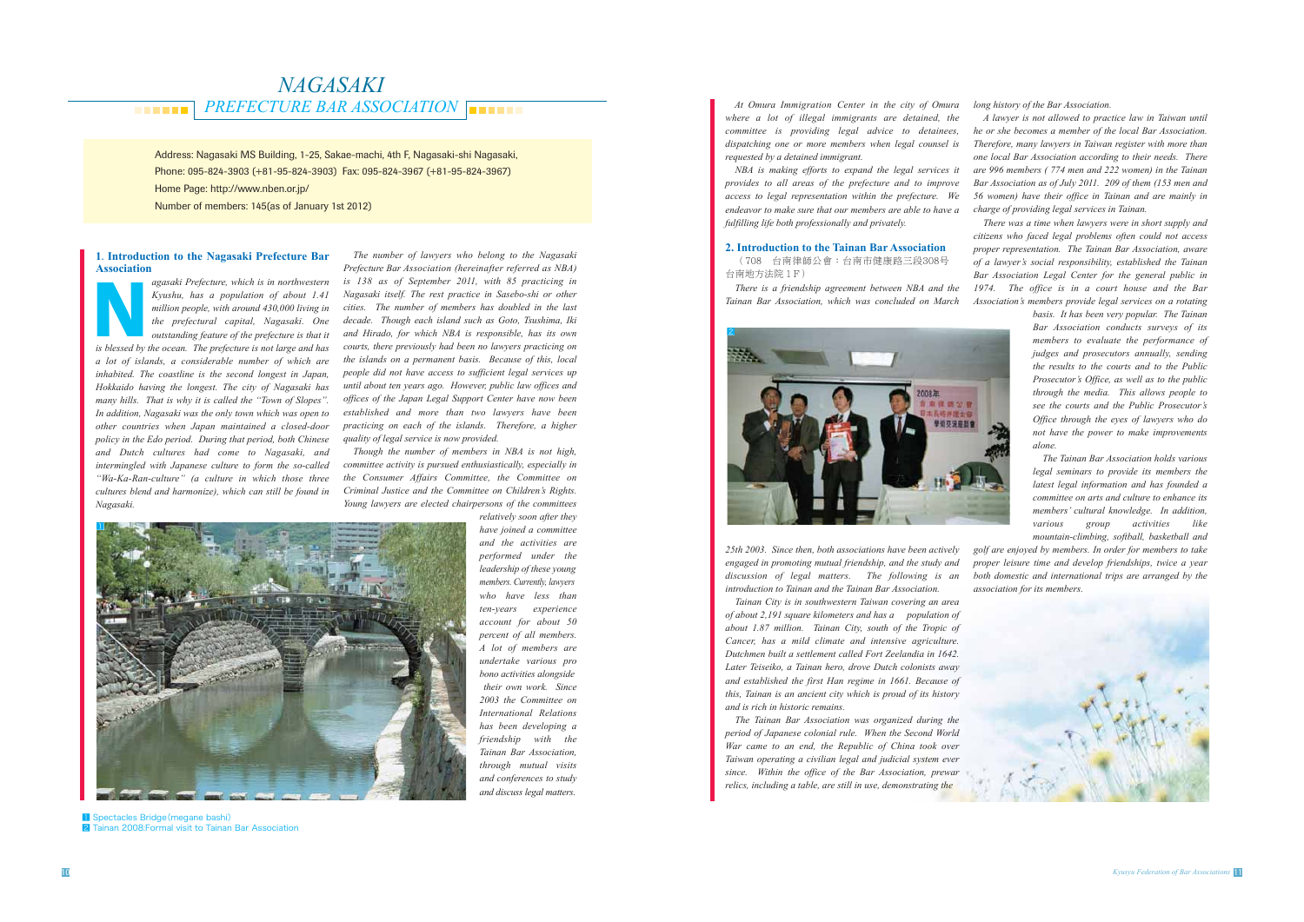#### *PREFECTURE BAR ASSOCIATION <u>BREEZ</u>*

# *NAGASAKI*

Address: Nagasaki MS Building, 1-25, Sakae-machi, 4th F, Nagasaki-shi Nagasaki, Phone: 095-824-3903 (+81-95-824-3903) Fax: 095-824-3967 (+81-95-824-3967) Home Page: http://www.nben.or.jp/ Number of members: 145(as of January 1st 2012)

#### **1**. **Introduction to the Nagasaki Prefecture Bar Association**

*agasaki Prefecture, which is in northwestern Kyushu, has a population of about 1.41 million people, with around 430,000 living in the prefectural capital, Nagasaki. One outstanding feature of the prefecture is that it is in northwestern*<br>*Kyushu, has a population of about 1.41*<br>*million people, with around 430,000 living in*<br>*the prefectural capital, Nagasaki. One*<br>*outstanding feature of the prefecture is that it*<br>*is blessed by the o a lot of islands, a considerable number of which are inhabited. The coastline is the second longest in Japan, Hokkaido having the longest. The city of Nagasaki has many hills. That is why it is called the "Town of Slopes". In addition, Nagasaki was the only town which was open to other countries when Japan maintained a closed-door policy in the Edo period. During that period, both Chinese and Dutch cultures had come to Nagasaki, and intermingled with Japanese culture to form the so-called "Wa-Ka-Ran-culture" (a culture in which those three cultures blend and harmonize), which can still be found in Nagasaki.* 

#### **2. Introduction to the Tainan Bar Association** (708 台南律師公會:台南市健康路三段308号

台南地方法院 1 F)

*The number of lawyers who belong to the Nagasaki Prefecture Bar Association (hereinafter referred as NBA) is 138 as of September 2011, with 85 practicing in Nagasaki itself. The rest practice in Sasebo-shi or other cities. The number of members has doubled in the last decade. Though each island such as Goto, Tsushima, Iki and Hirado, for which NBA is responsible, has its own courts, there previously had been no lawyers practicing on the islands on a permanent basis. Because of this, local people did not have access to sufficient legal services up until about ten years ago. However, public law offices and offices of the Japan Legal Support Center have now been established and more than two lawyers have been practicing on each of the islands. Therefore, a higher quality of legal service is now provided.* 

*Though the number of members in NBA is not high, committee activity is pursued enthusiastically, especially in the Consumer Affairs Committee, the Committee on Criminal Justice and the Committee on Children's Rights. Young lawyers are elected chairpersons of the committees* 

> *relatively soon after they have joined a committee and the activities are performed under the leadership of these young members. Currently, lawyers who have less than ten-years experience account for about 50 percent of all members. A lot of members are undertake various pro bono activities alongside their own work. Since 2003 the Committee on International Relations has been developing a friendship with the Tainan Bar Association, through mutual visits and conferences to study and discuss legal matters.*

 *At Omura Immigration Center in the city of Omura where a lot of illegal immigrants are detained, the committee is providing legal advice to detainees, dispatching one or more members when legal counsel is requested by a detained immigrant.* 

*NBA is making efforts to expand the legal services it provides to all areas of the prefecture and to improve access to legal representation within the prefecture. We endeavor to make sure that our members are able to have a fulfilling life both professionally and privately.* 



**1** Spectacles Bridge (megane bashi) 2 Tainan 2008:Formal visit to Tainan Bar Association

*There is a friendship agreement between NBA and the Tainan Bar Association, which was concluded on March* 



*25th 2003. Since then, both associations have been actively engaged in promoting mutual friendship, and the study and discussion of legal matters. The following is an introduction to Tainan and the Tainan Bar Association.* 

*Tainan City is in southwestern Taiwan covering an area of about 2,191 square kilometers and has a population of about 1.87 million. Tainan City, south of the Tropic of Cancer, has a mild climate and intensive agriculture. Dutchmen built a settlement called Fort Zeelandia in 1642. Later Teiseiko, a Tainan hero, drove Dutch colonists away and established the first Han regime in 1661. Because of this, Tainan is an ancient city which is proud of its history and is rich in historic remains.* 

*The Tainan Bar Association was organized during the period of Japanese colonial rule. When the Second World War came to an end, the Republic of China took over Taiwan operating a civilian legal and judicial system ever since. Within the office of the Bar Association, prewar relics, including a table, are still in use, demonstrating the* 

*long history of the Bar Association.*

*A lawyer is not allowed to practice law in Taiwan until he or she becomes a member of the local Bar Association. Therefore, many lawyers in Taiwan register with more than one local Bar Association according to their needs. There are 996 members ( 774 men and 222 women) in the Tainan Bar Association as of July 2011. 209 of them (153 men and 56 women) have their office in Tainan and are mainly in charge of providing legal services in Tainan.* 

*There was a time when lawyers were in short supply and citizens who faced legal problems often could not access proper representation. The Tainan Bar Association, aware of a lawyer's social responsibility, established the Tainan Bar Association Legal Center for the general public in 1974. The office is in a court house and the Bar Association's members provide legal services on a rotating* 

> *basis. It has been very popular. The Tainan Bar Association conducts surveys of its members to evaluate the performance of judges and prosecutors annually, sending the results to the courts and to the Public Prosecutor's Office, as well as to the public through the media. This allows people to see the courts and the Public Prosecutor's Office through the eyes of lawyers who do not have the power to make improvements alone.*

> *The Tainan Bar Association holds various legal seminars to provide its members the latest legal information and has founded a committee on arts and culture to enhance its members' cultural knowledge. In addition, various group activities like*

*mountain-climbing, softball, basketball and golf are enjoyed by members. In order for members to take proper leisure time and develop friendships, twice a year both domestic and international trips are arranged by the association for its members.* 

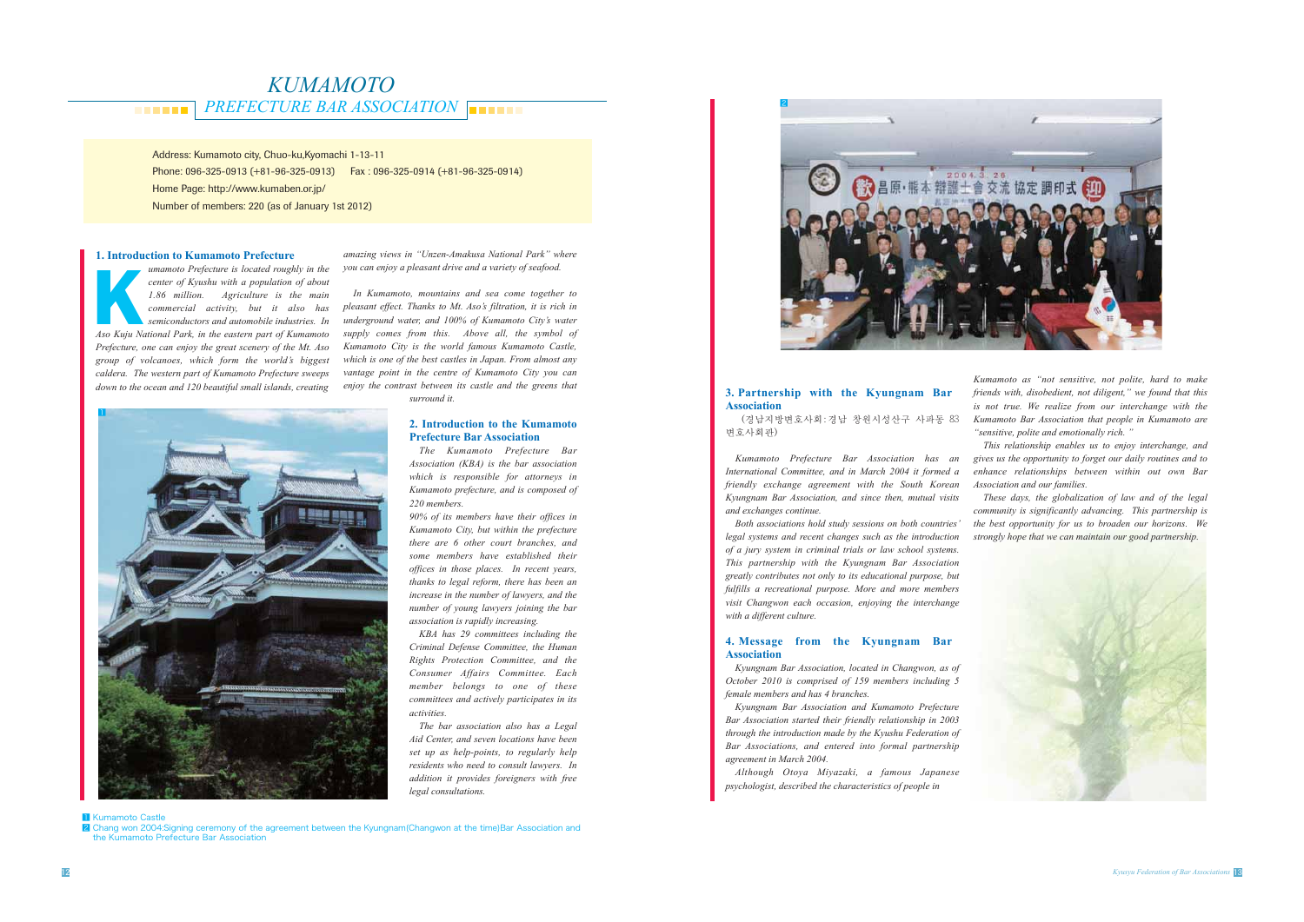#### *PREFECTURE BAR ASSOCIATION* **. . . . . .**

# *KUMAMOTO*

Address: Kumamoto city, Chuo-ku,Kyomachi 1-13-11 Phone: 096-325-0913 (+81-96-325-0913) Fax : 096-325-0914 (+81-96-325-0914) Home Page: http://www.kumaben.or.jp/ Number of members: 220 (as of January 1st 2012)

2 Chang won 2004:Signing ceremony of the agreement between the Kyungnam(Changwon at the time)Bar Association and the Kumamoto Prefecture Bar Association

#### **1. Introduction to Kumamoto Prefecture**

*umamoto Prefecture is located roughly in the center of Kyushu with a population of about 1.86 million. Agriculture is the main commercial activity, but it also has semiconductors and automobile industries. In Aso Kuju National Prefecture is located roughly in the center of Kyushu with a population of about 1.86 million. Agriculture is the main commercial activity, but it also has semiconductors and automobile industries. In As Prefecture, one can enjoy the great scenery of the Mt. Aso group of volcanoes, which form the world's biggest caldera. The western part of Kumamoto Prefecture sweeps down to the ocean and 120 beautiful small islands, creating* 

*amazing views in "Unzen-Amakusa National Park" where you can enjoy a pleasant drive and a variety of seafood.* 

*In Kumamoto, mountains and sea come together to pleasant effect. Thanks to Mt. Aso's filtration, it is rich in underground water, and 100% of Kumamoto City's water supply comes from this. Above all, the symbol of Kumamoto City is the world famous Kumamoto Castle, which is one of the best castles in Japan. From almost any vantage point in the centre of Kumamoto City you can enjoy the contrast between its castle and the greens that surround it.* 

#### **2. Introduction to the Kumamoto Prefecture Bar Association**

*The Kumamoto Prefecture Bar Association (KBA) is the bar association which is responsible for attorneys in Kumamoto prefecture, and is composed of 220 members.* 

*90% of its members have their offices in Kumamoto City, but within the prefecture there are 6 other court branches, and some members have established their offices in those places. In recent years, thanks to legal reform, there has been an increase in the number of lawyers, and the number of young lawyers joining the bar association is rapidly increasing.*

*KBA has 29 committees including the Criminal Defense Committee, the Human Rights Protection Committee, and the Consumer Affairs Committee. Each member belongs to one of these committees and actively participates in its activities.*

*The bar association also has a Legal Aid Center, and seven locations have been set up as help-points, to regularly help residents who need to consult lawyers. In addition it provides foreigners with free legal consultations.*

#### **3. Partnership with the Kyungnam Bar Association**

(경남지방변호사회:경남 창원시성산구 사파동 83 변호사회판)

*Kumamoto Prefecture Bar Association has an International Committee, and in March 2004 it formed a friendly exchange agreement with the South Korean Kyungnam Bar Association, and since then, mutual visits and exchanges continue.*

*Both associations hold study sessions on both countries' legal systems and recent changes such as the introduction of a jury system in criminal trials or law school systems. This partnership with the Kyungnam Bar Association greatly contributes not only to its educational purpose, but fulfills a recreational purpose. More and more members visit Changwon each occasion, enjoying the interchange with a different culture.* 

#### **4. Message from the Kyungnam Bar Association**

*Kyungnam Bar Association, located in Changwon, as of October 2010 is comprised of 159 members including 5 female members and has 4 branches.*

*Kyungnam Bar Association and Kumamoto Prefecture Bar Association started their friendly relationship in 2003 through the introduction made by the Kyushu Federation of Bar Associations, and entered into formal partnership agreement in March 2004.* 

*Although Otoya Miyazaki, a famous Japanese psychologist, described the characteristics of people in* 

**1** Kumamoto Castle

*Kumamoto as "not sensitive, not polite, hard to make friends with, disobedient, not diligent," we found that this is not true. We realize from our interchange with the Kumamoto Bar Association that people in Kumamoto are "sensitive, polite and emotionally rich. "*

*This relationship enables us to enjoy interchange, and gives us the opportunity to forget our daily routines and to enhance relationships between within out own Bar Association and our families.*

*These days, the globalization of law and of the legal community is significantly advancing. This partnership is the best opportunity for us to broaden our horizons. We strongly hope that we can maintain our good partnership.*





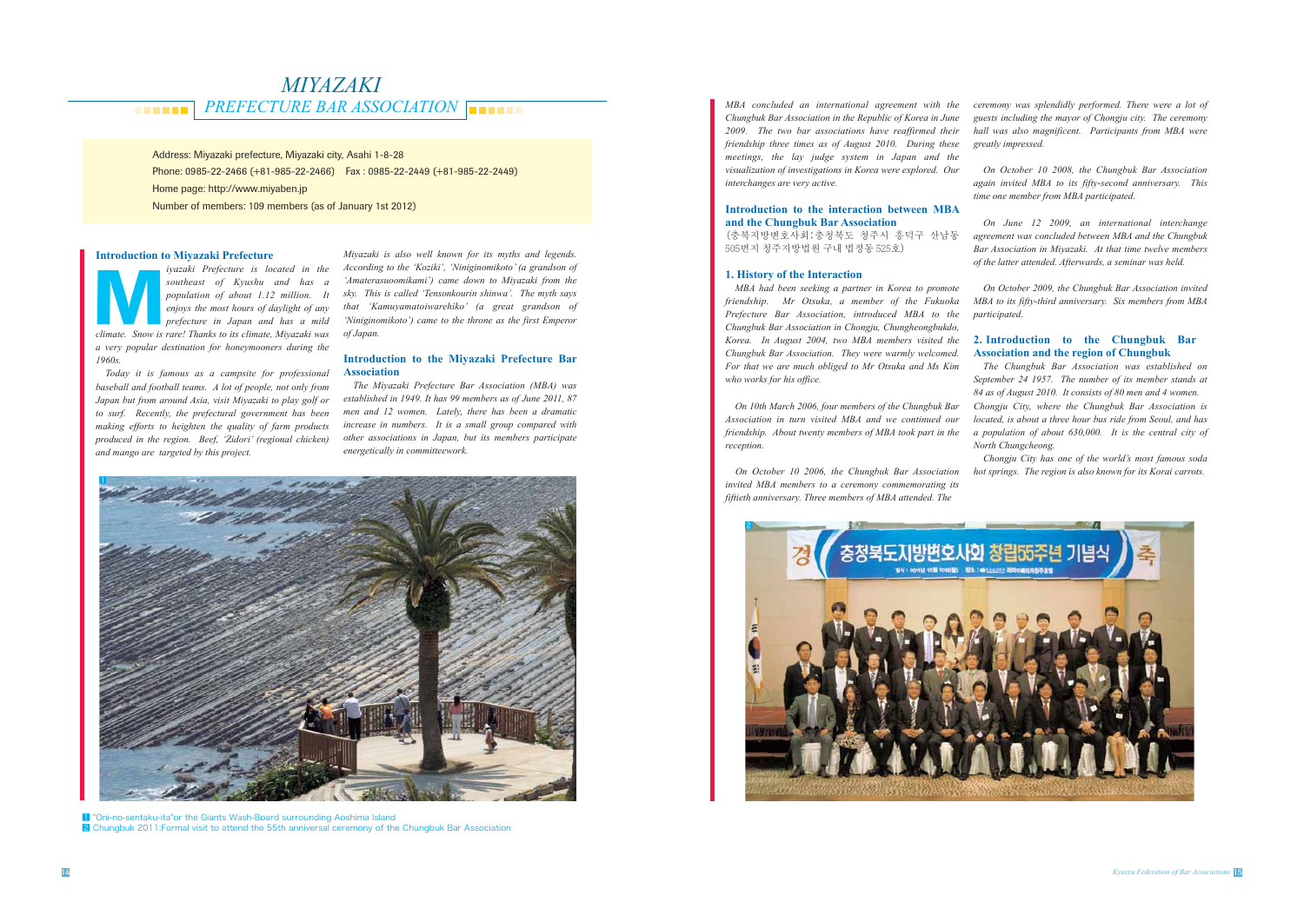#### *PREFECTURE BAR ASSOCIATION <u>BREEK</u>*

# *MIYAZAKI*

Address: Miyazaki prefecture, Miyazaki city, Asahi 1-8-28 Phone: 0985-22-2466 (+81-985-22-2466) Fax : 0985-22-2449 (+81-985-22-2449) Home page: http://www.miyaben.jp Number of members: 109 members (as of January 1st 2012)

*climate.* Show is rare! Thanks to its climate. Snow is rare! Thanks to its climate, Miyazaki was  $\frac{d}{dx}$  *climate. Snow is rare! Thanks to its climate, Miyazaki was*  $\frac{d}{dx}$  *climate.* Snow *is rare! Thanks to its cl iyazaki Prefecture is located in the southeast of Kyushu and has a population of about 1.12 million. It enjoys the most hours of daylight of any prefecture in Japan and has a mild a very popular destination for honeymooners during the 1960s.*

#### **Introduction to Miyazaki Prefecture**

*Today it is famous as a campsite for professional baseball and football teams. A lot of people, not only from Japan but from around Asia, visit Miyazaki to play golf or to surf. Recently, the prefectural government has been making efforts to heighten the quality of farm products produced in the region. Beef, 'Zidori' (regional chicken) and mango are targeted by this project.*

*Miyazaki is also well known for its myths and legends. According to the 'Koziki', 'Niniginomikoto' (a grandson of 'Amaterasuoomikami') came down to Miyazaki from the sky. This is called 'Tensonkourin shinwa'. The myth says that 'Kamuyamatoiwarehiko' (a great grandson of 'Niniginomikoto') came to the throne as the first Emperor of Japan.*

#### **Introduction to the Miyazaki Prefecture Bar Association**

*The Miyazaki Prefecture Bar Association (MBA) was established in 1949. It has 99 members as of June 2011, 87 men and 12 women. Lately, there has been a dramatic increase in numbers. It is a small group compared with other associations in Japan, but its members participate energetically in committeework.*

*MBA concluded an international agreement with the Chungbuk Bar Association in the Republic of Korea in June 2009. The two bar associations have reaffirmed their friendship three times as of August 2010. During these meetings, the lay judge system in Japan and the visualization of investigations in Korea were explored. Our interchanges are very active.*

#### **Introduction to the interaction between MBA and the Chungbuk Bar Association**

(충북지방변호사회:충청북도 청주시 흥덕구 산남동 505번지 청주지방법원 구내 법정동 525 호)

#### **1. History of the Interaction**

*MBA had been seeking a partner in Korea to promote friendship. Mr Otsuka, a member of the Fukuoka Prefecture Bar Association, introduced MBA to the Chungbuk Bar Association in Chongju, Chungheongbukdo, Korea. In August 2004, two MBA members visited the Chungbuk Bar Association. They were warmly welcomed. For that we are much obliged to Mr Otsuka and Ms Kim who works for his office.*

*On 10th March 2006, four members of the Chungbuk Bar Association in turn visited MBA and we continued our friendship. About twenty members of MBA took part in the reception.*

*On October 10 2006, the Chungbuk Bar Association invited MBA members to a ceremony commemorating its fiftieth anniversary. Three members of MBA attended. The* 



*ceremony was splendidly performed. There were a lot of guests including the mayor of Chongju city. The ceremony hall was also magnificent. Participants from MBA were greatly impressed.*

*On October 10 2008, the Chungbuk Bar Association again invited MBA to its fifty-second anniversary. This time one member from MBA participated.*

*On June 12 2009, an international interchange agreement was concluded between MBA and the Chungbuk Bar Association in Miyazaki. At that time twelve members of the latter attended. Afterwards, a seminar was held.*

*On October 2009, the Chungbuk Bar Association invited MBA to its fifty-third anniversary. Six members from MBA participated.*

#### **2. Introduction to the Chungbuk Bar Association and the region of Chungbuk**

*The Chungbuk Bar Association was established on September 24 1957. The number of its member stands at 84 as of August 2010. It consists of 80 men and 4 women. Chongju City, where the Chungbuk Bar Association is located, is about a three hour bus ride from Seoul, and has a population of about 630,000. It is the central city of North Chungcheong.*

*Chongju City has one of the world's most famous soda hot springs. The region is also known for its Korai carrots.*



**1** "Oni-no-sentaku-ita"or the Giants Wash-Board surrounding Aoshima Island 2 Chungbuk 2011:Formal visit to attend the 55th anniversal ceremony of the Chungbuk Bar Association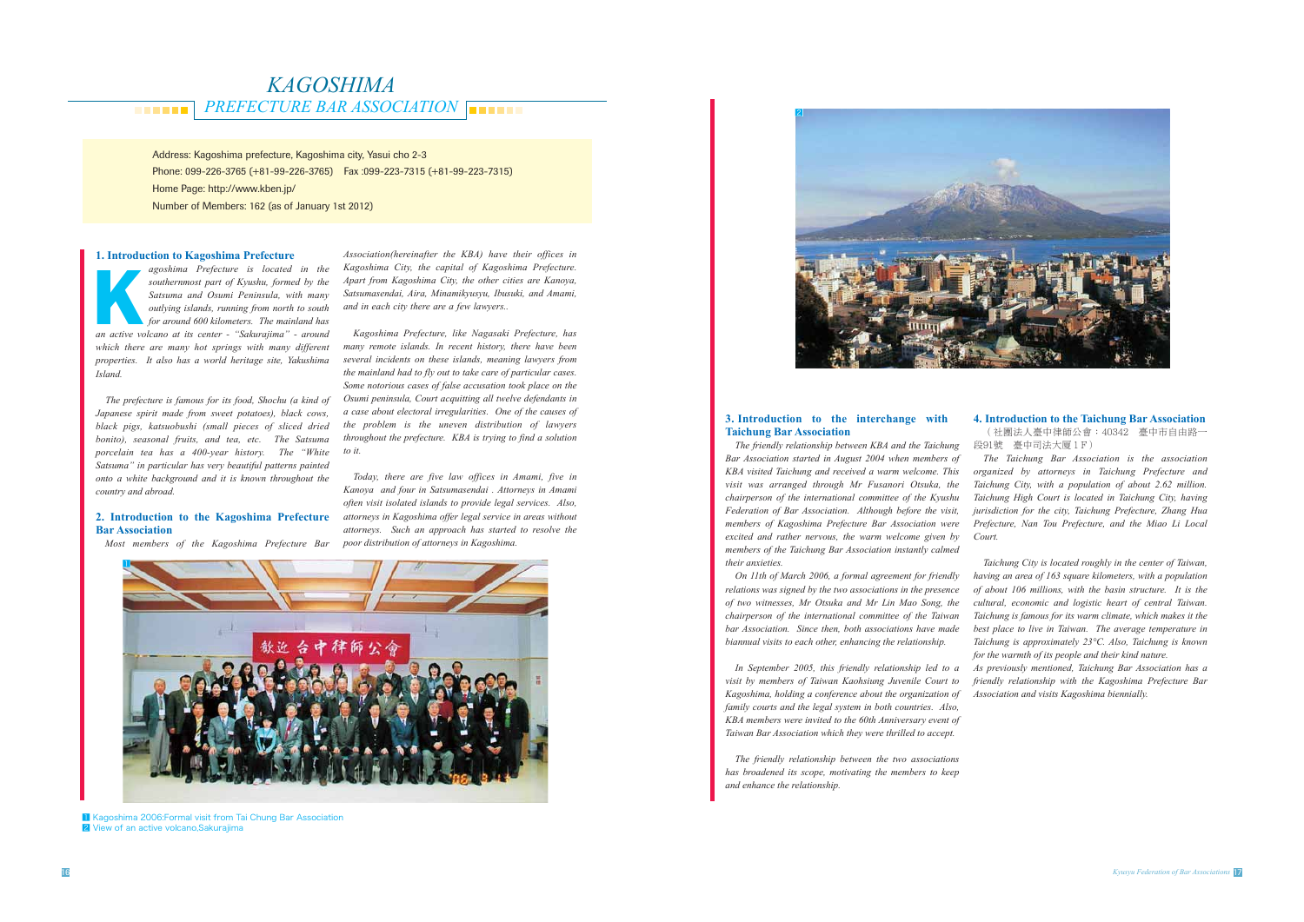*PREFECTURE BAR ASSOCIATION <u>BREEZ</u>* 

## *KAGOSHIMA*

Address: Kagoshima prefecture, Kagoshima city, Yasui cho 2-3 Phone: 099-226-3765 (+81-99-226-3765) Fax :099-223-7315 (+81-99-223-7315) Home Page: http://www.kben.jp/ Number of Members: 162 (as of January 1st 2012)

agoshima Prefecture is located in the<br>
southernmost part of Kyushu, formed by the<br>
Satsuma and Osumi Peninsula, with many<br>
outlying islands, running from north to south<br>
for around 600 kilometers. The mainland has<br>
an acti *agoshima Prefecture is located in the southernmost part of Kyushu, formed by the Satsuma and Osumi Peninsula, with many outlying islands, running from north to south for around 600 kilometers. The mainland has which there are many hot springs with many different properties. It also has a world heritage site, Yakushima Island.* 

#### **1. Introduction to Kagoshima Prefecture**

*The prefecture is famous for its food, Shochu (a kind of Japanese spirit made from sweet potatoes), black cows, black pigs, katsuobushi (small pieces of sliced dried bonito), seasonal fruits, and tea, etc. The Satsuma porcelain tea has a 400-year history. The "White Satsuma" in particular has very beautiful patterns painted onto a white background and it is known throughout the country and abroad.* 

#### **2. Introduction to the Kagoshima Prefecture Bar Association**

*Most members of the Kagoshima Prefecture Bar* 

*Association(hereinafter the KBA) have their offices in Kagoshima City, the capital of Kagoshima Prefecture. Apart from Kagoshima City, the other cities are Kanoya, Satsumasendai, Aira, Minamikyusyu, Ibusuki, and Amami, and in each city there are a few lawyers..*

*Kagoshima Prefecture, like Nagasaki Prefecture, has many remote islands. In recent history, there have been several incidents on these islands, meaning lawyers from the mainland had to fly out to take care of particular cases. Some notorious cases of false accusation took place on the Osumi peninsula, Court acquitting all twelve defendants in a case about electoral irregularities. One of the causes of the problem is the uneven distribution of lawyers throughout the prefecture. KBA is trying to find a solution to it.*

**4. Introduction to the Taichung Bar Association** (社團法人臺中律師公會: 40342 臺中市自由路一 段91號 臺中司法大厦 1F)

*Today, there are five law offices in Amami, five in Kanoya and four in Satsumasendai . Attorneys in Amami often visit isolated islands to provide legal services. Also, attorneys in Kagoshima offer legal service in areas without attorneys. Such an approach has started to resolve the poor distribution of attorneys in Kagoshima.*



1 Kagoshima 2006: Formal visit from Tai Chung Bar Association 2 View of an active volcano, Sakurajima

#### **3. Introduction to the interchange with Taichung Bar Association**

*The friendly relationship between KBA and the Taichung Bar Association started in August 2004 when members of KBA visited Taichung and received a warm welcome. This visit was arranged through Mr Fusanori Otsuka, the chairperson of the international committee of the Kyushu Federation of Bar Association. Although before the visit, members of Kagoshima Prefecture Bar Association were excited and rather nervous, the warm welcome given by members of the Taichung Bar Association instantly calmed their anxieties.* 

*On 11th of March 2006, a formal agreement for friendly relations was signed by the two associations in the presence of two witnesses, Mr Otsuka and Mr Lin Mao Song, the chairperson of the international committee of the Taiwan bar Association. Since then, both associations have made biannual visits to each other, enhancing the relationship.* 

*In September 2005, this friendly relationship led to a visit by members of Taiwan Kaohsiung Juvenile Court to Kagoshima, holding a conference about the organization of family courts and the legal system in both countries. Also, KBA members were invited to the 60th Anniversary event of Taiwan Bar Association which they were thrilled to accept.* 

*The friendly relationship between the two associations has broadened its scope, motivating the members to keep and enhance the relationship.* 

*The Taichung Bar Association is the association organized by attorneys in Taichung Prefecture and Taichung City, with a population of about 2.62 million. Taichung High Court is located in Taichung City, having jurisdiction for the city, Taichung Prefecture, Zhang Hua Prefecture, Nan Tou Prefecture, and the Miao Li Local Court.* 

*Taichung City is located roughly in the center of Taiwan, having an area of 163 square kilometers, with a population of about 106 millions, with the basin structure. It is the cultural, economic and logistic heart of central Taiwan. Taichung is famous for its warm climate, which makes it the best place to live in Taiwan. The average temperature in Taichung is approximately 23°C. Also, Taichung is known for the warmth of its people and their kind nature.* 

*As previously mentioned, Taichung Bar Association has a friendly relationship with the Kagoshima Prefecture Bar Association and visits Kagoshima biennially.*